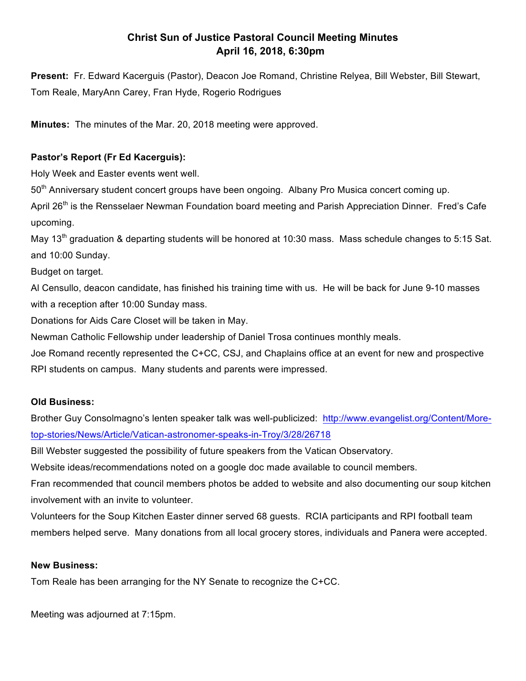## **Christ Sun of Justice Pastoral Council Meeting Minutes April 16, 2018, 6:30pm**

**Present:** Fr. Edward Kacerguis (Pastor), Deacon Joe Romand, Christine Relyea, Bill Webster, Bill Stewart, Tom Reale, MaryAnn Carey, Fran Hyde, Rogerio Rodrigues

**Minutes:** The minutes of the Mar. 20, 2018 meeting were approved.

### **Pastor's Report (Fr Ed Kacerguis):**

Holy Week and Easter events went well.

50<sup>th</sup> Anniversary student concert groups have been ongoing. Albany Pro Musica concert coming up.

April 26<sup>th</sup> is the Rensselaer Newman Foundation board meeting and Parish Appreciation Dinner. Fred's Cafe upcoming.

May 13<sup>th</sup> graduation & departing students will be honored at 10:30 mass. Mass schedule changes to 5:15 Sat. and 10:00 Sunday.

Budget on target.

Al Censullo, deacon candidate, has finished his training time with us. He will be back for June 9-10 masses with a reception after 10:00 Sunday mass.

Donations for Aids Care Closet will be taken in May.

Newman Catholic Fellowship under leadership of Daniel Trosa continues monthly meals.

Joe Romand recently represented the C+CC, CSJ, and Chaplains office at an event for new and prospective RPI students on campus. Many students and parents were impressed.

#### **Old Business:**

Brother Guy Consolmagno's lenten speaker talk was well-publicized: http://www.evangelist.org/Content/Moretop-stories/News/Article/Vatican-astronomer-speaks-in-Troy/3/28/26718

Bill Webster suggested the possibility of future speakers from the Vatican Observatory.

Website ideas/recommendations noted on a google doc made available to council members.

Fran recommended that council members photos be added to website and also documenting our soup kitchen involvement with an invite to volunteer.

Volunteers for the Soup Kitchen Easter dinner served 68 guests. RCIA participants and RPI football team members helped serve. Many donations from all local grocery stores, individuals and Panera were accepted.

#### **New Business:**

Tom Reale has been arranging for the NY Senate to recognize the C+CC.

Meeting was adjourned at 7:15pm.